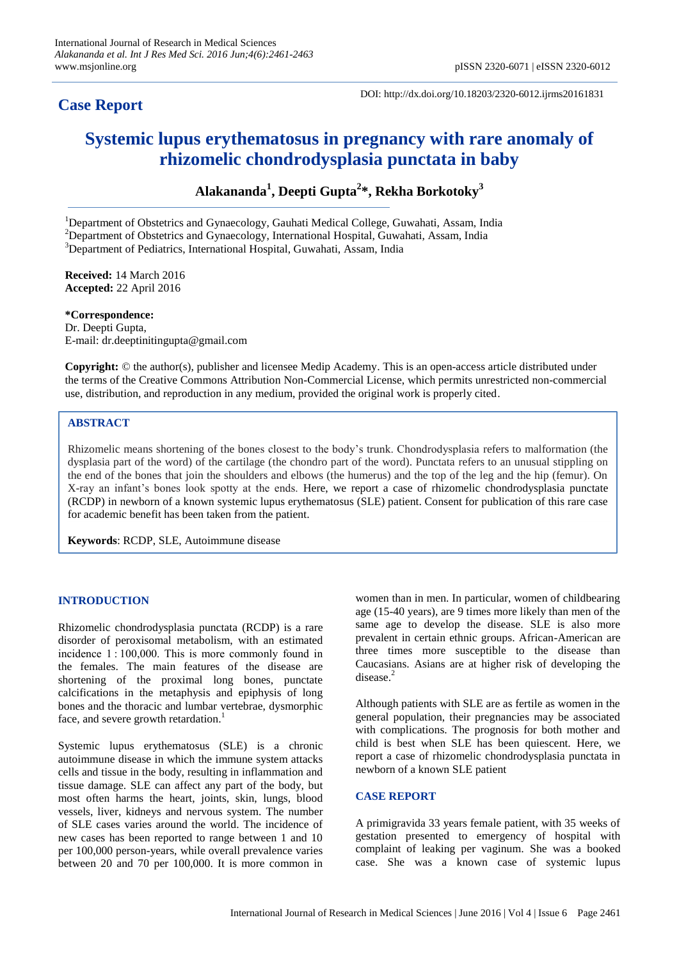# **Case Report**

DOI: http://dx.doi.org/10.18203/2320-6012.ijrms20161831

# **Systemic lupus erythematosus in pregnancy with rare anomaly of rhizomelic chondrodysplasia punctata in baby**

**Alakananda<sup>1</sup> , Deepti Gupta<sup>2</sup> \*, Rekha Borkotoky<sup>3</sup>**

<sup>1</sup>Department of Obstetrics and Gynaecology, Gauhati Medical College, Guwahati, Assam, India <sup>2</sup>Department of Obstetrics and Gynaecology, International Hospital, Guwahati, Assam, India <sup>3</sup>Department of Pediatrics, International Hospital, Guwahati, Assam, India

**Received:** 14 March 2016 **Accepted:** 22 April 2016

**\*Correspondence:** Dr. Deepti Gupta, E-mail: dr.deeptinitingupta@gmail.com

**Copyright:** © the author(s), publisher and licensee Medip Academy. This is an open-access article distributed under the terms of the Creative Commons Attribution Non-Commercial License, which permits unrestricted non-commercial use, distribution, and reproduction in any medium, provided the original work is properly cited.

# **ABSTRACT**

Rhizomelic means shortening of the bones closest to the body's trunk. Chondrodysplasia refers to malformation (the dysplasia part of the word) of the cartilage (the chondro part of the word). Punctata refers to an unusual stippling on the end of the bones that join the shoulders and elbows (the humerus) and the top of the leg and the hip (femur). On X-ray an infant's bones look spotty at the ends. Here, we report a case of rhizomelic chondrodysplasia punctate (RCDP) in newborn of a known systemic lupus erythematosus (SLE) patient. Consent for publication of this rare case for academic benefit has been taken from the patient.

**Keywords**: RCDP, SLE, Autoimmune disease

## **INTRODUCTION**

Rhizomelic chondrodysplasia punctata (RCDP) is a rare disorder of peroxisomal metabolism, with an estimated incidence 1 : 100,000. This is more commonly found in the females. The main features of the disease are shortening of the proximal long bones, punctate calcifications in the metaphysis and epiphysis of long bones and the thoracic and lumbar vertebrae, dysmorphic face, and severe growth retardation.<sup>1</sup>

Systemic lupus erythematosus (SLE) is a chronic autoimmune disease in which the immune system attacks cells and tissue in the body, resulting in inflammation and tissue damage. SLE can affect any part of the body, but most often harms the heart, joints, skin, lungs, blood vessels, liver, kidneys and nervous system. The number of SLE cases varies around the world. The incidence of new cases has been reported to range between 1 and 10 per 100,000 person-years, while overall prevalence varies between 20 and 70 per 100,000. It is more common in women than in men. In particular, women of childbearing age (15-40 years), are 9 times more likely than men of the same age to develop the disease. SLE is also more prevalent in certain ethnic groups. African-American are three times more susceptible to the disease than Caucasians. Asians are at higher risk of developing the disease.<sup>2</sup>

Although patients with SLE are as fertile as women in the general population, their pregnancies may be associated with complications. The prognosis for both mother and child is best when SLE has been quiescent. Here, we report a case of rhizomelic chondrodysplasia punctata in newborn of a known SLE patient

## **CASE REPORT**

A primigravida 33 years female patient, with 35 weeks of gestation presented to emergency of hospital with complaint of leaking per vaginum. She was a booked case. She was a known case of systemic lupus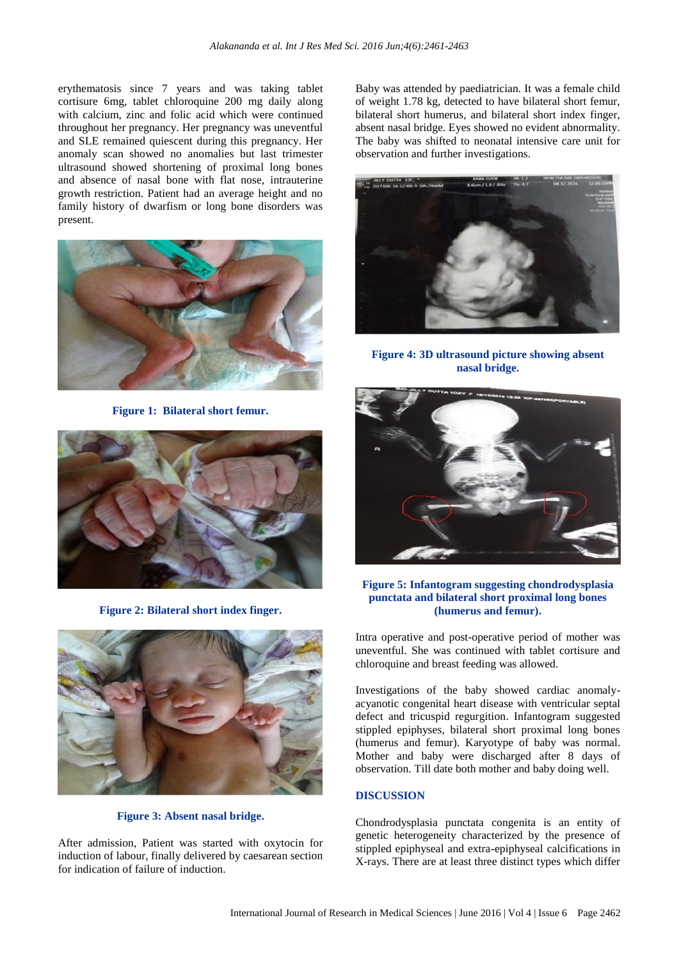erythematosis since 7 years and was taking tablet cortisure 6mg, tablet chloroquine 200 mg daily along with calcium, zinc and folic acid which were continued throughout her pregnancy. Her pregnancy was uneventful and SLE remained quiescent during this pregnancy. Her anomaly scan showed no anomalies but last trimester ultrasound showed shortening of proximal long bones and absence of nasal bone with flat nose, intrauterine growth restriction. Patient had an average height and no family history of dwarfism or long bone disorders was present.



**Figure 1: Bilateral short femur.**



**Figure 2: Bilateral short index finger.**



**Figure 3: Absent nasal bridge.**

After admission, Patient was started with oxytocin for induction of labour, finally delivered by caesarean section for indication of failure of induction.

Baby was attended by paediatrician. It was a female child of weight 1.78 kg, detected to have bilateral short femur, bilateral short humerus, and bilateral short index finger, absent nasal bridge. Eyes showed no evident abnormality. The baby was shifted to neonatal intensive care unit for observation and further investigations.



**Figure 4: 3D ultrasound picture showing absent nasal bridge.**



## **Figure 5: Infantogram suggesting chondrodysplasia punctata and bilateral short proximal long bones (humerus and femur).**

Intra operative and post-operative period of mother was uneventful. She was continued with tablet cortisure and chloroquine and breast feeding was allowed.

Investigations of the baby showed cardiac anomalyacyanotic congenital heart disease with ventricular septal defect and tricuspid regurgition. Infantogram suggested stippled epiphyses, bilateral short proximal long bones (humerus and femur). Karyotype of baby was normal. Mother and baby were discharged after 8 days of observation. Till date both mother and baby doing well.

#### **DISCUSSION**

Chondrodysplasia punctata congenita is an entity of genetic heterogeneity characterized by the presence of stippled epiphyseal and extra-epiphyseal calcifications in X-rays. There are at least three distinct types which differ